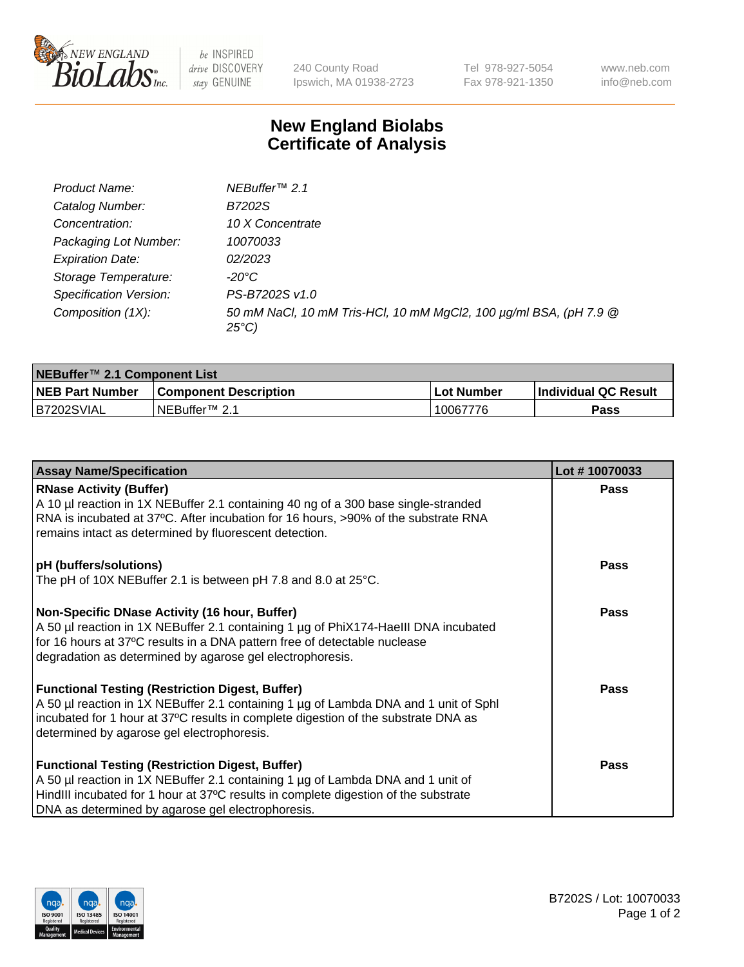

be INSPIRED drive DISCOVERY stay GENUINE

240 County Road Ipswich, MA 01938-2723 Tel 978-927-5054 Fax 978-921-1350 www.neb.com info@neb.com

## **New England Biolabs Certificate of Analysis**

| Product Name:           | NEBuffer <sup>™</sup> 2.1                                                          |
|-------------------------|------------------------------------------------------------------------------------|
| Catalog Number:         | B7202S                                                                             |
| Concentration:          | 10 X Concentrate                                                                   |
| Packaging Lot Number:   | 10070033                                                                           |
| <b>Expiration Date:</b> | 02/2023                                                                            |
| Storage Temperature:    | -20°C                                                                              |
| Specification Version:  | PS-B7202S v1.0                                                                     |
| Composition (1X):       | 50 mM NaCl, 10 mM Tris-HCl, 10 mM MgCl2, 100 µg/ml BSA, (pH 7.9 @<br>$25^{\circ}C$ |

| NEBuffer™ 2.1 Component List |                              |             |                             |  |  |
|------------------------------|------------------------------|-------------|-----------------------------|--|--|
| <b>NEB Part Number</b>       | <b>Component Description</b> | ⊺Lot Number | <b>Individual QC Result</b> |  |  |
| B7202SVIAL                   | NEBuffer™ 2.1                | 10067776    | Pass                        |  |  |

| <b>Assay Name/Specification</b>                                                                                                                                                                                                                                                       | Lot #10070033 |
|---------------------------------------------------------------------------------------------------------------------------------------------------------------------------------------------------------------------------------------------------------------------------------------|---------------|
| <b>RNase Activity (Buffer)</b><br>A 10 µl reaction in 1X NEBuffer 2.1 containing 40 ng of a 300 base single-stranded                                                                                                                                                                  | <b>Pass</b>   |
| RNA is incubated at 37°C. After incubation for 16 hours, >90% of the substrate RNA<br>remains intact as determined by fluorescent detection.                                                                                                                                          |               |
| pH (buffers/solutions)<br>The pH of 10X NEBuffer 2.1 is between pH 7.8 and 8.0 at 25°C.                                                                                                                                                                                               | <b>Pass</b>   |
| Non-Specific DNase Activity (16 hour, Buffer)<br>A 50 µl reaction in 1X NEBuffer 2.1 containing 1 µg of PhiX174-Haelll DNA incubated<br>for 16 hours at 37°C results in a DNA pattern free of detectable nuclease<br>degradation as determined by agarose gel electrophoresis.        | <b>Pass</b>   |
| <b>Functional Testing (Restriction Digest, Buffer)</b><br>A 50 µl reaction in 1X NEBuffer 2.1 containing 1 µg of Lambda DNA and 1 unit of Sphl<br>incubated for 1 hour at 37°C results in complete digestion of the substrate DNA as<br>determined by agarose gel electrophoresis.    | Pass          |
| <b>Functional Testing (Restriction Digest, Buffer)</b><br>A 50 µl reaction in 1X NEBuffer 2.1 containing 1 µg of Lambda DNA and 1 unit of<br>HindIII incubated for 1 hour at 37°C results in complete digestion of the substrate<br>DNA as determined by agarose gel electrophoresis. | <b>Pass</b>   |